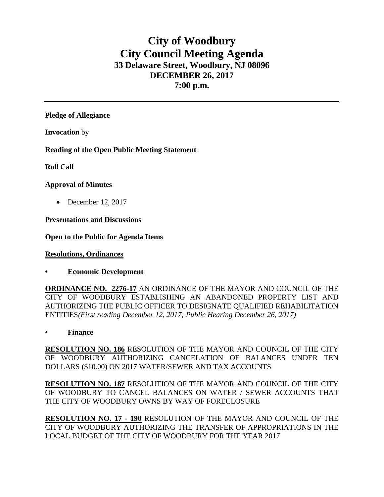## **City of Woodbury City Council Meeting Agenda 33 Delaware Street, Woodbury, NJ 08096 DECEMBER 26, 2017 7:00 p.m.**

**Pledge of Allegiance**

**Invocation** by

**Reading of the Open Public Meeting Statement**

**Roll Call**

## **Approval of Minutes**

• December 12, 2017

**Presentations and Discussions**

**Open to the Public for Agenda Items**

**Resolutions, Ordinances**

**• Economic Development**

**ORDINANCE NO. 2276-17** AN ORDINANCE OF THE MAYOR AND COUNCIL OF THE CITY OF WOODBURY ESTABLISHING AN ABANDONED PROPERTY LIST AND AUTHORIZING THE PUBLIC OFFICER TO DESIGNATE QUALIFIED REHABILITATION ENTITIES*(First reading December 12, 2017; Public Hearing December 26, 2017)*

**• Finance** 

**RESOLUTION NO. 186** RESOLUTION OF THE MAYOR AND COUNCIL OF THE CITY OF WOODBURY AUTHORIZING CANCELATION OF BALANCES UNDER TEN DOLLARS (\$10.00) ON 2017 WATER/SEWER AND TAX ACCOUNTS

**RESOLUTION NO. 187** RESOLUTION OF THE MAYOR AND COUNCIL OF THE CITY OF WOODBURY TO CANCEL BALANCES ON WATER / SEWER ACCOUNTS THAT THE CITY OF WOODBURY OWNS BY WAY OF FORECLOSURE

**RESOLUTION NO. 17 - 190** RESOLUTION OF THE MAYOR AND COUNCIL OF THE CITY OF WOODBURY AUTHORIZING THE TRANSFER OF APPROPRIATIONS IN THE LOCAL BUDGET OF THE CITY OF WOODBURY FOR THE YEAR 2017